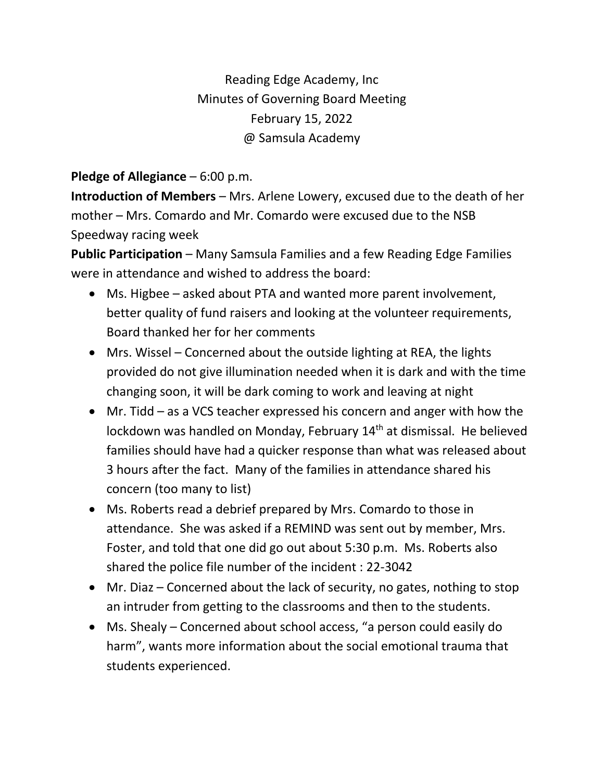Reading Edge Academy, Inc Minutes of Governing Board Meeting February 15, 2022 @ Samsula Academy

## **Pledge of Allegiance** – 6:00 p.m.

**Introduction of Members** – Mrs. Arlene Lowery, excused due to the death of her mother – Mrs. Comardo and Mr. Comardo were excused due to the NSB Speedway racing week

**Public Participation** – Many Samsula Families and a few Reading Edge Families were in attendance and wished to address the board:

- Ms. Higbee asked about PTA and wanted more parent involvement, better quality of fund raisers and looking at the volunteer requirements, Board thanked her for her comments
- Mrs. Wissel Concerned about the outside lighting at REA, the lights provided do not give illumination needed when it is dark and with the time changing soon, it will be dark coming to work and leaving at night
- Mr. Tidd as a VCS teacher expressed his concern and anger with how the lockdown was handled on Monday, February 14<sup>th</sup> at dismissal. He believed families should have had a quicker response than what was released about 3 hours after the fact. Many of the families in attendance shared his concern (too many to list)
- Ms. Roberts read a debrief prepared by Mrs. Comardo to those in attendance. She was asked if a REMIND was sent out by member, Mrs. Foster, and told that one did go out about 5:30 p.m. Ms. Roberts also shared the police file number of the incident : 22-3042
- Mr. Diaz Concerned about the lack of security, no gates, nothing to stop an intruder from getting to the classrooms and then to the students.
- Ms. Shealy Concerned about school access, "a person could easily do harm", wants more information about the social emotional trauma that students experienced.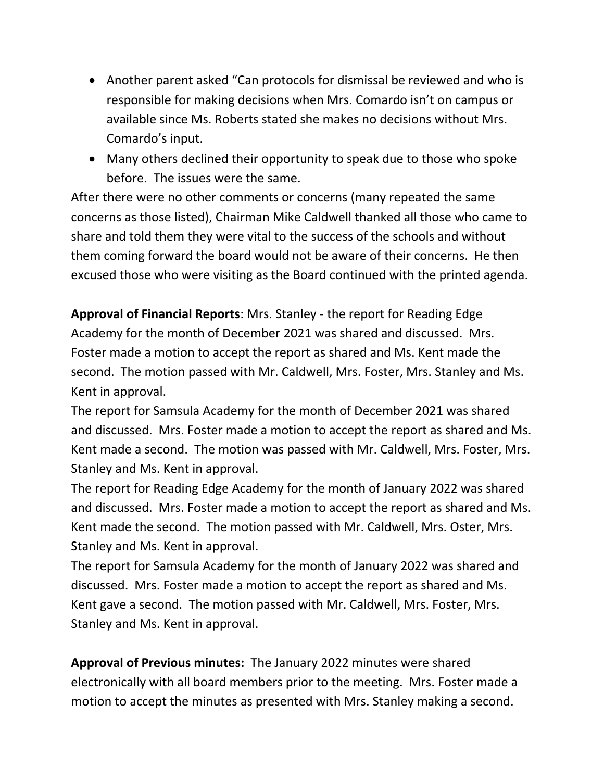- Another parent asked "Can protocols for dismissal be reviewed and who is responsible for making decisions when Mrs. Comardo isn't on campus or available since Ms. Roberts stated she makes no decisions without Mrs. Comardo's input.
- Many others declined their opportunity to speak due to those who spoke before. The issues were the same.

After there were no other comments or concerns (many repeated the same concerns as those listed), Chairman Mike Caldwell thanked all those who came to share and told them they were vital to the success of the schools and without them coming forward the board would not be aware of their concerns. He then excused those who were visiting as the Board continued with the printed agenda.

**Approval of Financial Reports**: Mrs. Stanley - the report for Reading Edge Academy for the month of December 2021 was shared and discussed. Mrs. Foster made a motion to accept the report as shared and Ms. Kent made the second. The motion passed with Mr. Caldwell, Mrs. Foster, Mrs. Stanley and Ms. Kent in approval.

The report for Samsula Academy for the month of December 2021 was shared and discussed. Mrs. Foster made a motion to accept the report as shared and Ms. Kent made a second. The motion was passed with Mr. Caldwell, Mrs. Foster, Mrs. Stanley and Ms. Kent in approval.

The report for Reading Edge Academy for the month of January 2022 was shared and discussed. Mrs. Foster made a motion to accept the report as shared and Ms. Kent made the second. The motion passed with Mr. Caldwell, Mrs. Oster, Mrs. Stanley and Ms. Kent in approval.

The report for Samsula Academy for the month of January 2022 was shared and discussed. Mrs. Foster made a motion to accept the report as shared and Ms. Kent gave a second. The motion passed with Mr. Caldwell, Mrs. Foster, Mrs. Stanley and Ms. Kent in approval.

**Approval of Previous minutes:** The January 2022 minutes were shared electronically with all board members prior to the meeting. Mrs. Foster made a motion to accept the minutes as presented with Mrs. Stanley making a second.